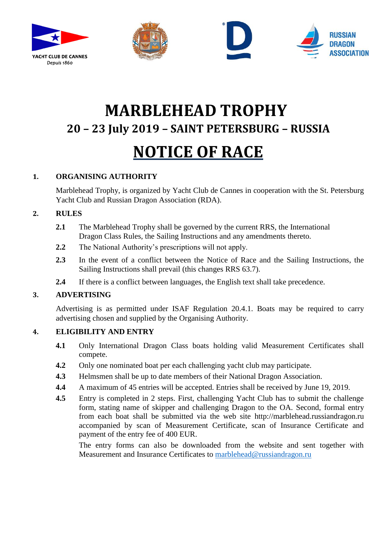







# **MARBLEHEAD TROPHY 20 – 23 July 2019 – SAINT PETERSBURG – RUSSIA NOTICE OF RACE**

# **1. ORGANISING AUTHORITY**

Marblehead Trophy, is organized by Yacht Club de Cannes in cooperation with the St. Petersburg Yacht Club and Russian Dragon Association (RDA).

# **2. RULES**

- **2.1** The Marblehead Trophy shall be governed by the current RRS, the International Dragon Class Rules, the Sailing Instructions and any amendments thereto.
- **2.2** The National Authority's prescriptions will not apply.
- **2.3** In the event of a conflict between the Notice of Race and the Sailing Instructions, the Sailing Instructions shall prevail (this changes RRS 63.7).
- **2.4** If there is a conflict between languages, the English text shall take precedence.

# **3. ADVERTISING**

Advertising is as permitted under ISAF Regulation 20.4.1. Boats may be required to carry advertising chosen and supplied by the Organising Authority.

# **4. ELIGIBILITY AND ENTRY**

- **4.1** Only International Dragon Class boats holding valid Measurement Certificates shall compete.
- **4.2** Only one nominated boat per each challenging yacht club may participate.
- **4.3** Helmsmen shall be up to date members of their National Dragon Association.
- **4.4** A maximum of 45 entries will be accepted. Entries shall be received by June 19, 2019.
- **4.5** Entry is completed in 2 steps. First, challenging Yacht Club has to submit the challenge form, stating name of skipper and challenging Dragon to the OA. Second, formal entry from each boat shall be submitted via the web site http://marblehead.russiandragon.ru accompanied by scan of Measurement Certificate, scan of Insurance Certificate and payment of the entry fee of 400 EUR.

The entry forms can also be downloaded from the website and sent together with Measurement and Insurance Certificates to [marblehead@russiandragon.ru](mailto:marblehead@russiandragon.ru)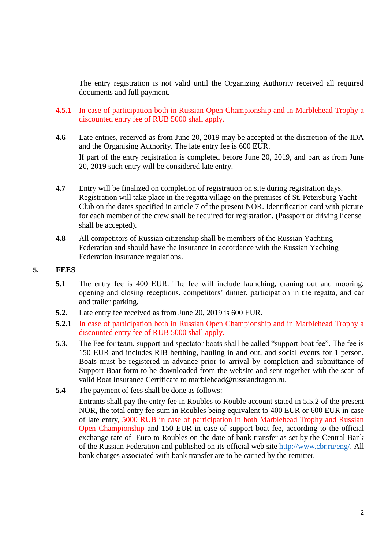The entry registration is not valid until the Organizing Authority received all required documents and full payment.

- **4.5.1** In case of participation both in Russian Open Championship and in Marblehead Trophy a discounted entry fee of RUB 5000 shall apply.
- **4.6** Late entries, received as from June 20, 2019 may be accepted at the discretion of the IDA and the Organising Authority. The late entry fee is 600 EUR. If part of the entry registration is completed before June 20, 2019, and part as from June 20, 2019 such entry will be considered late entry.
- **4.7** Entry will be finalized on completion of registration on site during registration days. Registration will take place in the regatta village on the premises of St. Petersburg Yacht Club on the dates specified in article 7 of the present NOR. Identification card with picture for each member of the crew shall be required for registration. (Passport or driving license shall be accepted).
- **4.8** All competitors of Russian citizenship shall be members of the Russian Yachting Federation and should have the insurance in accordance with the Russian Yachting Federation insurance regulations.

#### **5. FEES**

- **5.1** The entry fee is 400 EUR. The fee will include launching, craning out and mooring, opening and closing receptions, competitors' dinner, participation in the regatta, and car and trailer parking.
- **5.2.** Late entry fee received as from June 20, 2019 is 600 EUR.
- **5.2.1** In case of participation both in Russian Open Championship and in Marblehead Trophy a discounted entry fee of RUB 5000 shall apply.
- **5.3.** The Fee for team, support and spectator boats shall be called "support boat fee". The fee is 150 EUR and includes RIB berthing, hauling in and out, and social events for 1 person. Boats must be registered in advance prior to arrival by completion and submittance of Support Boat form to be downloaded from the website and sent together with the scan of valid Boat Insurance Certificate to marblehead@russiandragon.ru.
- **5.4** The payment of fees shall be done as follows:

Entrants shall pay the entry fee in Roubles to Rouble account stated in 5.5.2 of the present NOR, the total entry fee sum in Roubles being equivalent to 400 EUR or 600 EUR in case of late entry, 5000 RUB in case of participation in both Marblehead Trophy and Russian Open Championship and 150 EUR in case of support boat fee, according to the official exchange rate of Euro to Roubles on the date of bank transfer as set by the Сentral Bank of the Russian Federation and published on its official web site [http://www.cbr.ru/eng/.](http://www.cbr.ru/eng/) All bank charges associated with bank transfer are to be carried by the remitter.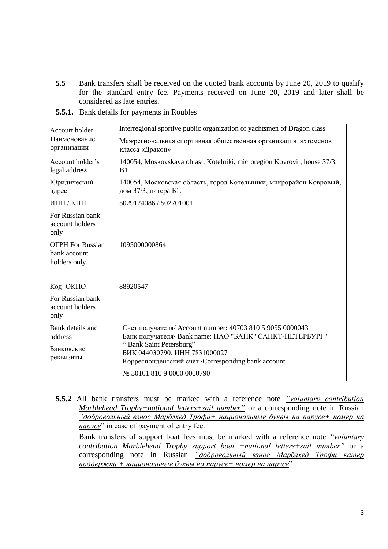**5.5** Bank transfers shall be received on the quoted bank accounts by June 20, 2019 to qualify for the standard entry fee. Payments received on June 20, 2019 and later shall be considered as late entries.

| Accourt holder<br>Наименование<br>организации           | Interregional sportive public organization of yachtsmen of Dragon class                    |
|---------------------------------------------------------|--------------------------------------------------------------------------------------------|
|                                                         | Межрегиональная спортивная общественная организация яхтсменов<br>класса «Дракон»           |
|                                                         |                                                                                            |
| Account holder's<br>legal address                       | 140054, Moskovskaya oblast, Kotelniki, microregion Kovrovij, house 37/3,<br>B1             |
| Юридический<br>адрес                                    | 140054, Московская область, город Котельники, микрорайон Ковровый,<br>дом 37/3, литера Б1. |
| ИНН / КПП                                               | 5029124086 / 502701001                                                                     |
| For Russian bank<br>account holders<br>only             |                                                                                            |
| <b>OFPH</b> For Russian<br>bank account<br>holders only | 1095000000864                                                                              |
| Код ОКПО                                                | 88920547                                                                                   |
| For Russian bank                                        |                                                                                            |
| account holders                                         |                                                                                            |
| only                                                    |                                                                                            |
| Bank details and                                        | Счет получателя/ Account number: 40703 810 5 9055 0000043                                  |
| address                                                 | Банк получателя/ Bank name: ПАО "БАНК "САНКТ-ПЕТЕРБУРГ"                                    |
| Банковские                                              | "Bank Saint Petersburg"                                                                    |
| реквизиты                                               | БИК 044030790, ИНН 7831000027                                                              |
|                                                         | Корреспондентский счет /Corresponding bank account                                         |
|                                                         | № 30101 810 9 0000 0000790                                                                 |
|                                                         |                                                                                            |

**5.5.1.** Bank details for payments in Roubles

**5.5.2** All bank transfers must be marked with a reference note *"voluntary contribution Marblehead Trophy+national letters+sail number"* or a corresponding note in Russian *"добровольный взнос Марблхед Трофи+ национальные буквы на парусе+ номер на парусе*" in case of payment of entry fee.

Bank transfers of support boat fees must be marked with a reference note *"voluntary contribution Marblehead Trophy support boat +national letters+sail number"* or a corresponding note in Russian *"добровольный взнос Марблхед Трофи катер поддержки + национальные буквы на парусе+ номер на парусе*" .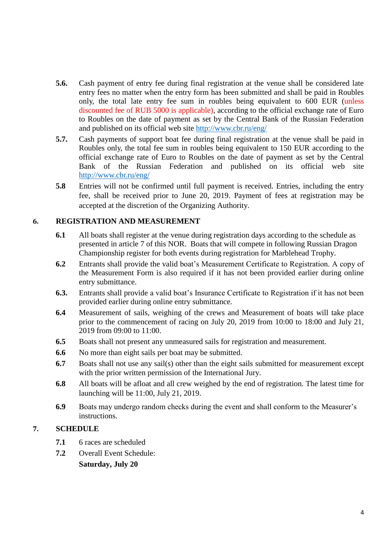- **5.6.** Cash payment of entry fee during final registration at the venue shall be considered late entry fees no matter when the entry form has been submitted and shall be paid in Roubles only, the total late entry fee sum in roubles being equivalent to 600 EUR (unless discounted fee of RUB 5000 is applicable), according to the official exchange rate of Euro to Roubles on the date of payment as set by the Central Bank of the Russian Federation and published on its official web site<http://www.cbr.ru/eng/>
- **5.7.** Cash payments of support boat fee during final registration at the venue shall be paid in Roubles only, the total fee sum in roubles being equivalent to 150 EUR according to the official exchange rate of Euro to Roubles on the date of payment as set by the Central Bank of the Russian Federation and published on its official web site <http://www.cbr.ru/eng/>
- **5.8** Entries will not be confirmed until full payment is received. Entries, including the entry fee, shall be received prior to June 20, 2019. Payment of fees at registration may be accepted at the discretion of the Organizing Authority.

## **6. REGISTRATION AND MEASUREMENT**

- **6.1** All boats shall register at the venue during registration days according to the schedule as presented in article 7 of this NOR. Boats that will compete in following Russian Dragon Championship register for both events during registration for Marblehead Trophy.
- **6.2** Entrants shall provide the valid boat's Measurement Certificate to Registration. A copy of the Measurement Form is also required if it has not been provided earlier during online entry submittance.
- **6.3.** Entrants shall provide a valid boat's Insurance Certificate to Registration if it has not been provided earlier during online entry submittance.
- **6.4** Measurement of sails, weighing of the crews and Measurement of boats will take place prior to the commencement of racing on July 20, 2019 from 10:00 to 18:00 and July 21, 2019 from 09:00 to 11:00.
- **6.5** Boats shall not present any unmeasured sails for registration and measurement.
- **6.6** No more than eight sails per boat may be submitted.
- **6.7** Boats shall not use any sail(s) other than the eight sails submitted for measurement except with the prior written permission of the International Jury.
- **6.8** All boats will be afloat and all crew weighed by the end of registration. The latest time for launching will be 11:00, July 21, 2019.
- **6.9** Boats may undergo random checks during the event and shall conform to the Measurer's instructions.

## **7. SCHEDULE**

- **7.1** 6 races are scheduled
- **7.2** Overall Event Schedule: **Saturday, July 20**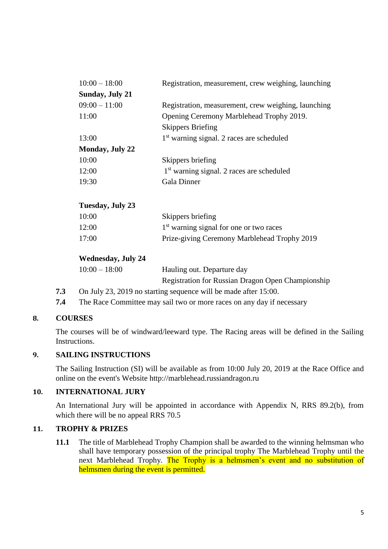| $10:00 - 18:00$        | Registration, measurement, crew weighing, launching   |
|------------------------|-------------------------------------------------------|
| <b>Sunday, July 21</b> |                                                       |
| $09:00 - 11:00$        | Registration, measurement, crew weighing, launching   |
| 11:00                  | Opening Ceremony Marblehead Trophy 2019.              |
|                        | <b>Skippers Briefing</b>                              |
| 13:00                  | 1 <sup>st</sup> warning signal. 2 races are scheduled |
| <b>Monday, July 22</b> |                                                       |
| 10:00                  | Skippers briefing                                     |
| 12:00                  | 1 <sup>st</sup> warning signal. 2 races are scheduled |
| 19:30                  | <b>Gala Dinner</b>                                    |
|                        |                                                       |

## **Tuesday, July 23**

| 10:00 | Skippers briefing                                   |
|-------|-----------------------------------------------------|
| 12:00 | 1 <sup>st</sup> warning signal for one or two races |
| 17:00 | Prize-giving Ceremony Marblehead Trophy 2019        |

## **Wednesday, July 24**

| $10:00 - 18:00$ | Hauling out. Departure day                               |
|-----------------|----------------------------------------------------------|
|                 | <b>Registration for Russian Dragon Open Championship</b> |

- **7.3** On July 23, 2019 no starting sequence will be made after 15:00.
- **7.4** The Race Committee may sail two or more races on any day if necessary

# **8. COURSES**

The courses will be of windward/leeward type. The Racing areas will be defined in the Sailing Instructions.

## **9. SAILING INSTRUCTIONS**

The Sailing Instruction (SI) will be available as from 10:00 July 20, 2019 at the Race Office and online on the event's Website http://marblehead.russiandragon.ru

## **10. INTERNATIONAL JURY**

An International Jury will be appointed in accordance with Appendix N, RRS 89.2(b), from which there will be no appeal RRS 70.5

## **11. TROPHY & PRIZES**

**11.1** The title of Marblehead Trophy Champion shall be awarded to the winning helmsman who shall have temporary possession of the principal trophy The Marblehead Trophy until the next Marblehead Trophy. The Trophy is a helmsmen's event and no substitution of helmsmen during the event is permitted.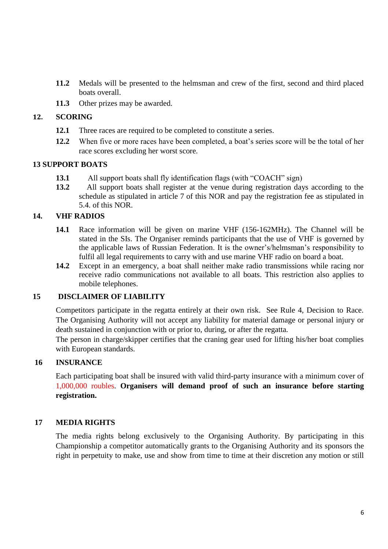- **11.2** Medals will be presented to the helmsman and crew of the first, second and third placed boats overall.
- **11.3** Other prizes may be awarded.

#### **12. SCORING**

- **12.1** Three races are required to be completed to constitute a series.
- **12.2** When five or more races have been completed, a boat's series score will be the total of her race scores excluding her worst score.

#### **13 SUPPORT BOATS**

- **13.1** All support boats shall fly identification flags (with "COACH" sign)
- **13.2** All support boats shall register at the venue during registration days according to the schedule as stipulated in article 7 of this NOR and pay the registration fee as stipulated in 5.4. of this NOR.

## **14. VHF RADIOS**

- **14.1** Race information will be given on marine VHF (156-162MHz). The Channel will be stated in the SIs. The Organiser reminds participants that the use of VHF is governed by the applicable laws of Russian Federation. It is the owner's/helmsman's responsibility to fulfil all legal requirements to carry with and use marine VHF radio on board a boat.
- **14.2** Except in an emergency, a boat shall neither make radio transmissions while racing nor receive radio communications not available to all boats. This restriction also applies to mobile telephones.

## **15 DISCLAIMER OF LIABILITY**

Competitors participate in the regatta entirely at their own risk. See Rule 4, Decision to Race. The Organising Authority will not accept any liability for material damage or personal injury or death sustained in conjunction with or prior to, during, or after the regatta.

The person in charge/skipper certifies that the craning gear used for lifting his/her boat complies with European standards.

## **16 INSURANCE**

Each participating boat shall be insured with valid third-party insurance with a minimum cover of 1,000,000 roubles. **Organisers will demand proof of such an insurance before starting registration.**

## **17 MEDIA RIGHTS**

The media rights belong exclusively to the Organising Authority. By participating in this Championship a competitor automatically grants to the Organising Authority and its sponsors the right in perpetuity to make, use and show from time to time at their discretion any motion or still